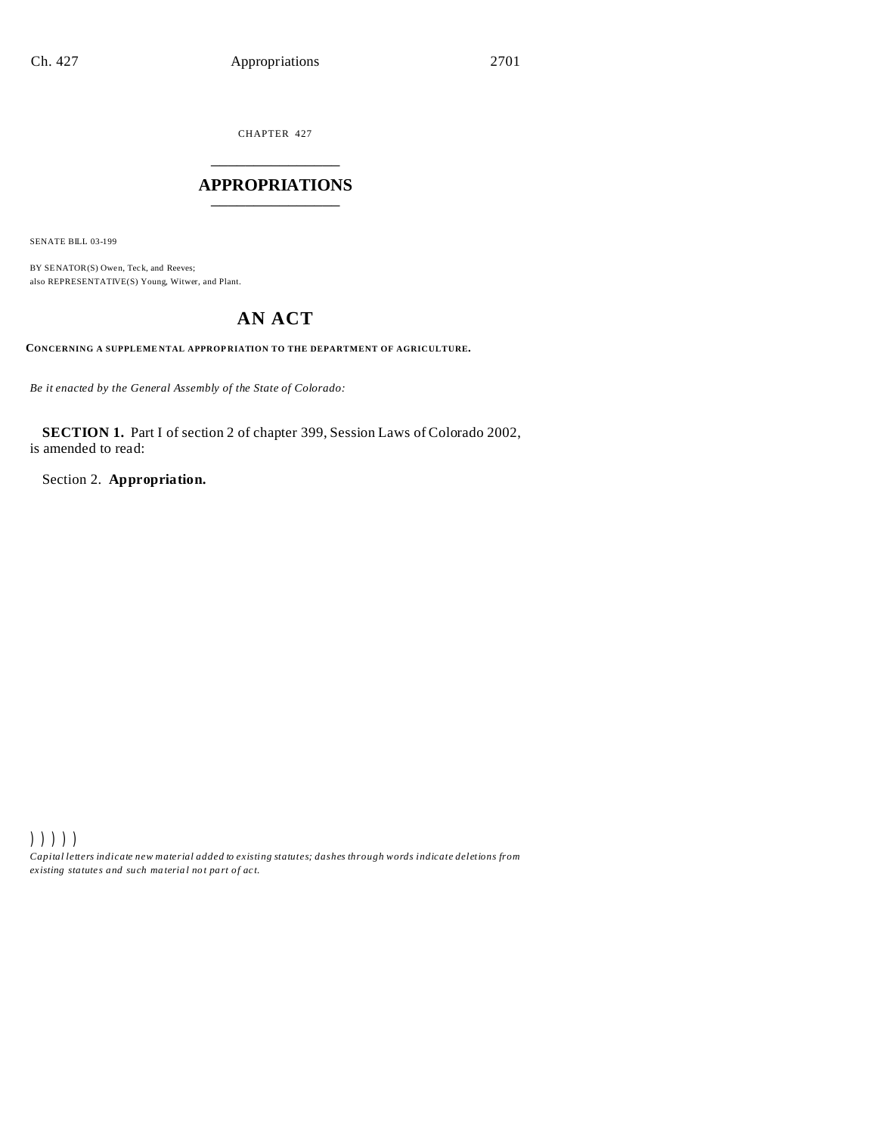CHAPTER 427 \_\_\_\_\_\_\_\_\_\_\_\_\_\_\_

# **APPROPRIATIONS** \_\_\_\_\_\_\_\_\_\_\_\_\_\_\_

SENATE BILL 03-199

BY SENATOR(S) Owen, Teck, and Reeves; also REPRESENTATIVE(S) Young, Witwer, and Plant.

# **AN ACT**

**CONCERNING A SUPPLEME NTAL APPROP RIATION TO THE DEPARTMENT OF AGRICULTURE.**

*Be it enacted by the General Assembly of the State of Colorado:*

**SECTION 1.** Part I of section 2 of chapter 399, Session Laws of Colorado 2002, is amended to read:

Section 2. **Appropriation.**

))))) *Capital letters indicate new material added to existing statutes; dashes through words indicate deletions from ex isting statute s and such ma teria l no t pa rt of ac t.*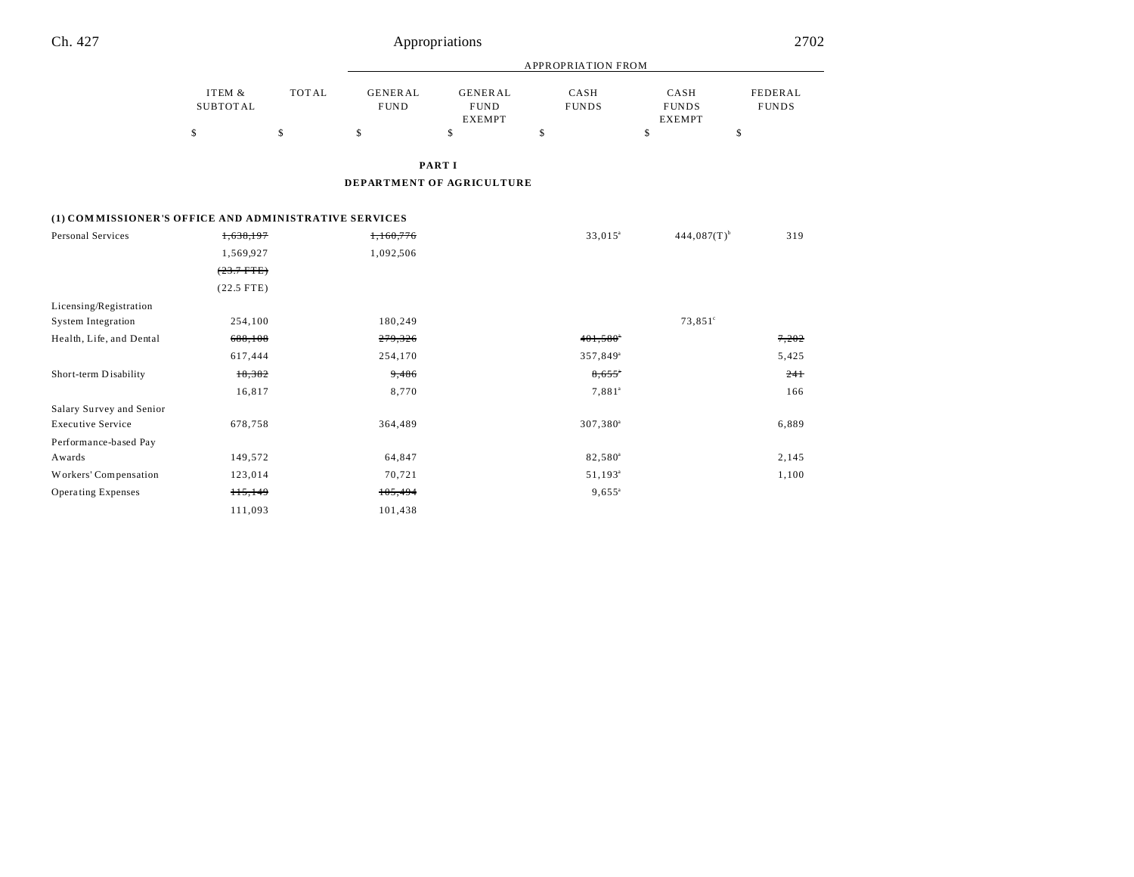| Ch. 427 | Appropriations | 2702 |
|---------|----------------|------|
|         |                |      |
|         |                |      |

|          |              | APPROPRIATION FROM |                |              |               |              |
|----------|--------------|--------------------|----------------|--------------|---------------|--------------|
| ITEM &   | <b>TOTAL</b> | GENERAL            | <b>GENERAL</b> | CASH         | CASH          | FEDERAL      |
| SUBTOTAL |              | <b>FUND</b>        | <b>FUND</b>    | <b>FUNDS</b> | <b>FUNDS</b>  | <b>FUNDS</b> |
|          |              |                    | <b>EXEMPT</b>  |              | <b>EXEMPT</b> |              |
| \$       | S            |                    |                |              |               |              |

**PART I**

**DEPARTMENT OF AGRICULTURE**

# **(1) COM MISSIONER'S OFFICE AND ADMINISTRATIVE SERVICES**

| Personal Services         | 1,638,197    | 1,160,776 | $33,015^a$             | $444.087(T)^{b}$ | 319   |
|---------------------------|--------------|-----------|------------------------|------------------|-------|
|                           | 1,569,927    | 1,092,506 |                        |                  |       |
|                           | $(23.7$ FTE) |           |                        |                  |       |
|                           | $(22.5$ FTE) |           |                        |                  |       |
| Licensing/Registration    |              |           |                        |                  |       |
| <b>System Integration</b> | 254,100      | 180,249   |                        | $73,851^{\circ}$ |       |
| Health, Life, and Dental  | 688,108      | 279,326   | $401,580$ <sup>*</sup> |                  | 7,202 |
|                           | 617,444      | 254,170   | 357,849 <sup>a</sup>   |                  | 5,425 |
| Short-term Disability     | 18,382       | 9,486     | $8,655$ <sup>*</sup>   |                  | 241   |
|                           | 16,817       | 8,770     | $7,881^a$              |                  | 166   |
| Salary Survey and Senior  |              |           |                        |                  |       |
| <b>Executive Service</b>  | 678,758      | 364,489   | $307,380^{\circ}$      |                  | 6,889 |
| Performance-based Pay     |              |           |                        |                  |       |
| Awards                    | 149,572      | 64,847    | 82,580 <sup>a</sup>    |                  | 2,145 |
| Workers' Compensation     | 123,014      | 70,721    | $51,193^{\circ}$       |                  | 1,100 |
| Operating Expenses        | 115,149      | 105,494   | $9,655^{\circ}$        |                  |       |
|                           | 111,093      | 101,438   |                        |                  |       |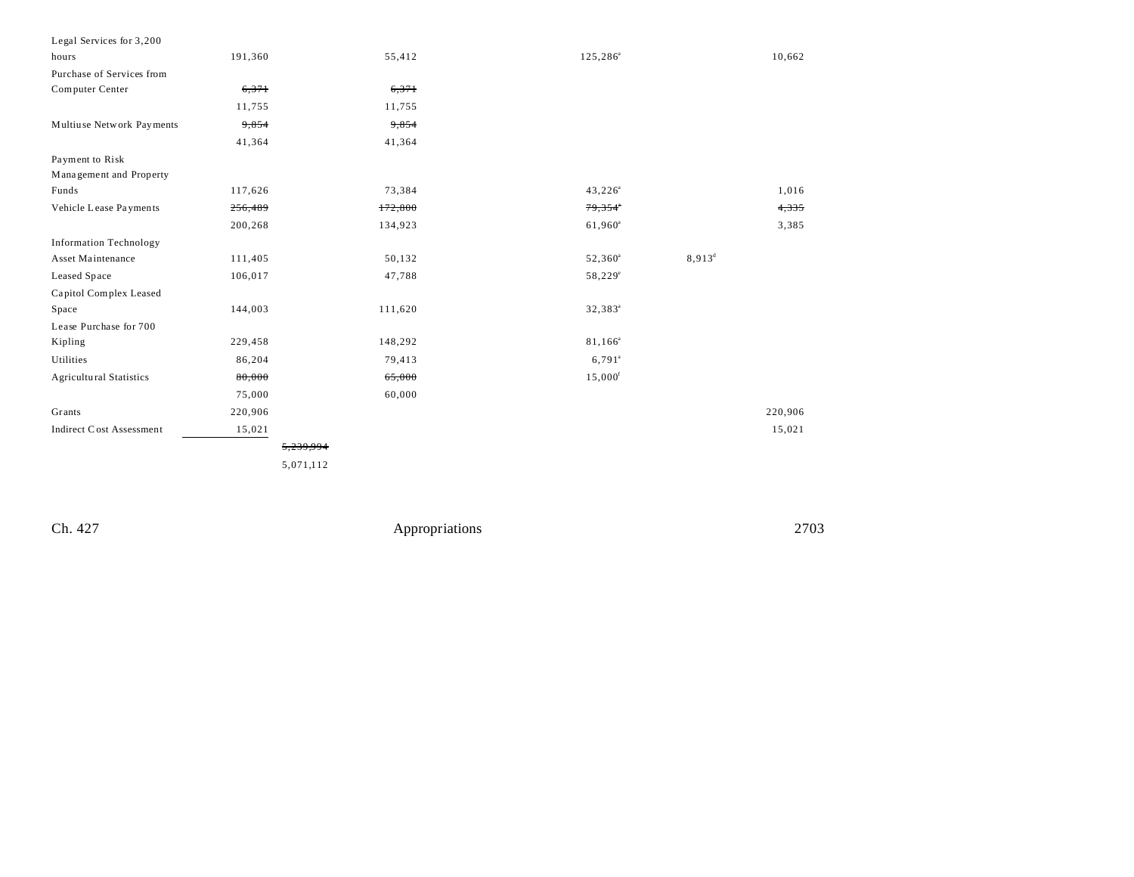| Legal Services for 3,200                  |           |                     |           |
|-------------------------------------------|-----------|---------------------|-----------|
| 191,360<br>hours                          | 55,412    | $125, 286^a$        | 10,662    |
| Purchase of Services from                 |           |                     |           |
| Computer Center<br>6,371                  | 6,371     |                     |           |
| 11,755                                    | 11,755    |                     |           |
| Multiuse Network Payments<br>9,854        | 9,854     |                     |           |
| 41,364                                    | 41,364    |                     |           |
| Payment to Risk                           |           |                     |           |
| Management and Property                   |           |                     |           |
| Funds<br>117,626                          | 73,384    | $43,226^a$          | 1,016     |
| Vehicle Lease Payments<br>256,489         | 172,800   | 79,354*             | 4,335     |
| 200,268                                   | 134,923   | 61,960 <sup>a</sup> | 3,385     |
| <b>Information Technology</b>             |           |                     |           |
| Asset Maintenance<br>111,405              | 50,132    | $52,360^a$          | $8,913^d$ |
| Leased Space<br>106,017                   | 47,788    | $58,229^{\circ}$    |           |
| Capitol Complex Leased                    |           |                     |           |
| 144,003<br>Space                          | 111,620   | $32,383^{\circ}$    |           |
| Lease Purchase for 700                    |           |                     |           |
| 229,458<br>Kipling                        | 148,292   | 81,166 <sup>a</sup> |           |
| Utilities<br>86,204                       | 79,413    | $6,791^{\circ}$     |           |
| <b>Agricultural Statistics</b><br>80,000  | 65,000    | 15,000 <sup>f</sup> |           |
| 75,000                                    | 60,000    |                     |           |
| Grants<br>220,906                         |           |                     | 220,906   |
| <b>Indirect Cost Assessment</b><br>15,021 |           |                     | 15,021    |
|                                           | 5,239,994 |                     |           |
|                                           | 5,071,112 |                     |           |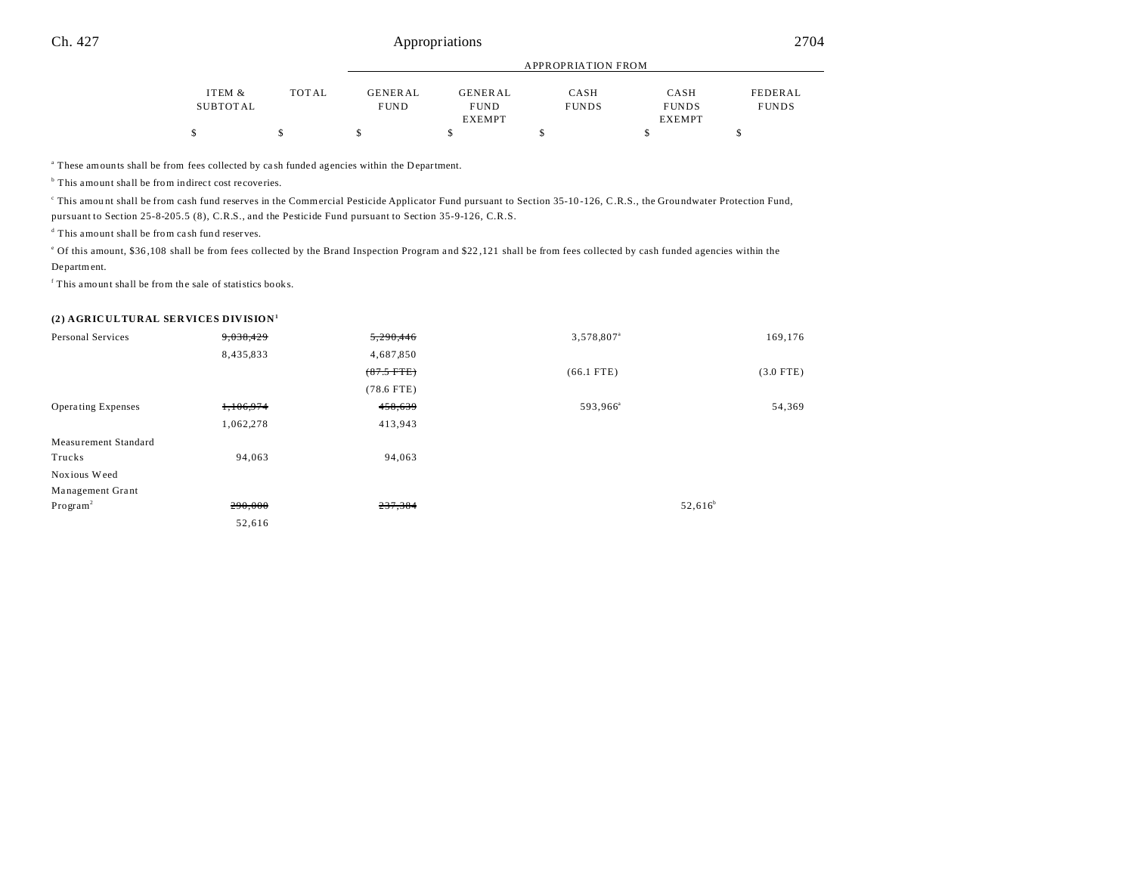|          |        |             | APPROPRIATION FROM |              |               |              |  |
|----------|--------|-------------|--------------------|--------------|---------------|--------------|--|
|          |        |             |                    |              |               |              |  |
| ITEM &   | TOT AL | GENERAL     | <b>GENERAL</b>     | CASH         | CASH          | FEDERAL      |  |
| SUBTOTAL |        | <b>FUND</b> | <b>FUND</b>        | <b>FUNDS</b> | <b>FUNDS</b>  | <b>FUNDS</b> |  |
|          |        |             | <b>EXEMPT</b>      |              | <b>EXEMPT</b> |              |  |
|          |        |             |                    |              |               |              |  |

a These amounts shall be from fees collected by ca sh funded agencies within the Department.

<sup>b</sup> This amount shall be from indirect cost recoveries.

This amount shall be from cash fund reserves in the Commercial Pesticide Applicator Fund pursuant to Section 35-10-126, C.R.S., the Groundwater Protection Fund, pursuant to Section 25-8-205.5 (8), C.R.S., and the Pesticide Fund pursuant to Section 35-9-126, C.R.S.

d This amount shall be from ca sh fund reserves.

of this amount, \$36,108 shall be from fees collected by the Brand Inspection Program and \$22,121 shall be from fees collected by cash funded agencies within the Department.

f This amount shall be from the sale of statistics books.

### **(2) AGRICULTURAL SERVICES DIVISION<sup>1</sup>**

| Personal Services         | 9,038,429 | 5,290,446    | 3,578,807 <sup>a</sup> | 169,176     |
|---------------------------|-----------|--------------|------------------------|-------------|
|                           | 8,435,833 | 4,687,850    |                        |             |
|                           |           | $(87.5$ FTE) | $(66.1$ FTE)           | $(3.0$ FTE) |
|                           |           | $(78.6$ FTE) |                        |             |
| <b>Operating Expenses</b> | 1,106,974 | 458,639      | 593,966 <sup>a</sup>   | 54,369      |
|                           | 1,062,278 | 413,943      |                        |             |
| Measurement Standard      |           |              |                        |             |
| Trucks                    | 94,063    | 94,063       |                        |             |
| Noxious Weed              |           |              |                        |             |
| Management Grant          |           |              |                        |             |
| Program <sup>2</sup>      | 290,000   | 237,384      |                        | $52,616^b$  |
|                           | 52,616    |              |                        |             |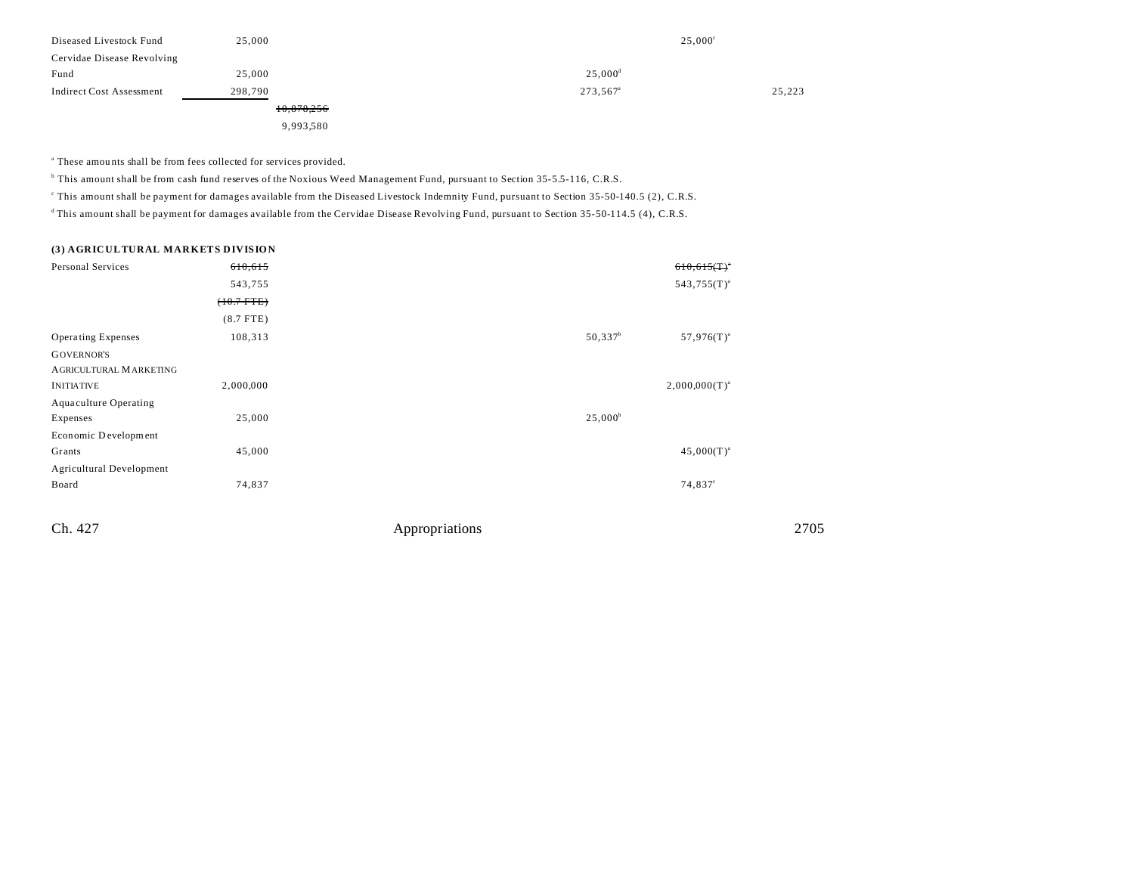| Diseased Livestock Fund    | 25,000     | $25,000^{\circ}$     |        |
|----------------------------|------------|----------------------|--------|
| Cervidae Disease Revolving |            |                      |        |
| Fund                       | 25,000     | $25,000^{\rm d}$     |        |
| Indirect Cost Assessment   | 298.790    | 273,567 <sup>a</sup> | 25,223 |
|                            | 10,878,256 |                      |        |
|                            | 9,993,580  |                      |        |

<sup>a</sup> These amounts shall be from fees collected for services provided.

b This amount shall be from cash fund reserves of the Noxious Weed Management Fund, pursuant to Section 35-5.5-116, C.R.S.

c This amount shall be payment for damages available from the Diseased Livestock Indemnity Fund, pursuant to Section 35-50-140.5 (2), C.R.S.

<sup>d</sup>This amount shall be payment for damages available from the Cervidae Disease Revolving Fund, pursuant to Section 35-50-114.5 (4), C.R.S.

# **(3) AGRICULTURAL MARKETS DIVISION**

| Personal Services               | 610,615         | $610,615($ T) <sup>*</sup>    |  |
|---------------------------------|-----------------|-------------------------------|--|
|                                 | 543,755         | $543,755(T)^{a}$              |  |
|                                 | $(+0.7$ FTE $)$ |                               |  |
|                                 | $(8.7$ FTE)     |                               |  |
| <b>Operating Expenses</b>       | 108,313         | $50,337^b$<br>$57,976(T)^{a}$ |  |
| <b>GOVERNOR'S</b>               |                 |                               |  |
| AGRICULTURAL MARKETING          |                 |                               |  |
| <b>INITIATIVE</b>               | 2,000,000       | $2,000,000(T)^{a}$            |  |
| <b>Aquaculture Operating</b>    |                 |                               |  |
| Expenses                        | 25,000          | $25,000^{\circ}$              |  |
| Economic Development            |                 |                               |  |
| Grants                          | 45,000          | $45,000(T)^{a}$               |  |
| <b>Agricultural Development</b> |                 |                               |  |
| Board                           | 74,837          | $74,837^{\circ}$              |  |
|                                 |                 |                               |  |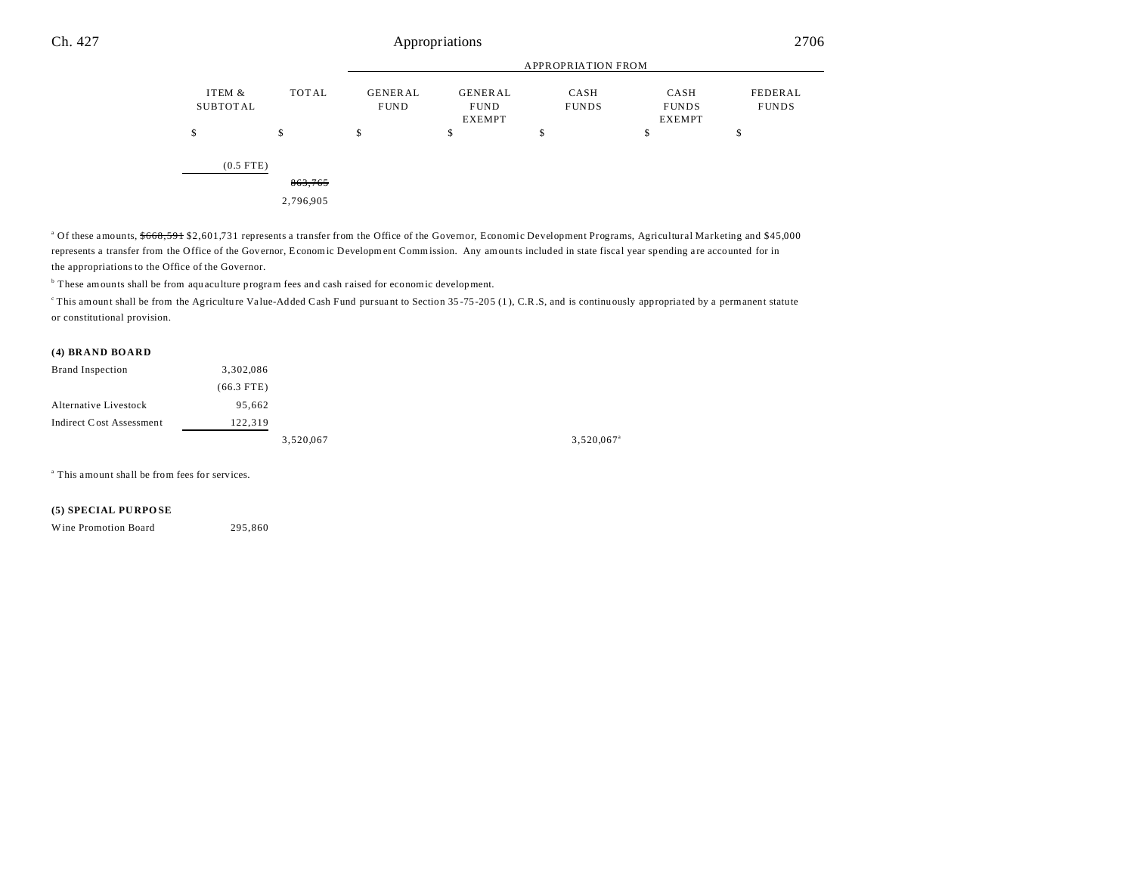|                    |                                    | <b>APPROPRIATION FROM</b>     |                                                |                      |                                       |                         |
|--------------------|------------------------------------|-------------------------------|------------------------------------------------|----------------------|---------------------------------------|-------------------------|
| ITEM &<br>SUBTOTAL | TOTAL                              | <b>GENERAL</b><br><b>FUND</b> | <b>GENERAL</b><br><b>FUND</b><br><b>EXEMPT</b> | CASH<br><b>FUNDS</b> | CASH<br><b>FUNDS</b><br><b>EXEMPT</b> | FEDERAL<br><b>FUNDS</b> |
| \$                 | \$                                 | c<br>ъ                        | \$                                             | \$                   | \$                                    | o<br>Φ                  |
| $(0.5$ FTE)        | $0<\gamma$ $7<\epsilon$<br>805.705 |                               |                                                |                      |                                       |                         |

2,796,905

<sup>a</sup> Of these amounts, \$668,591 \$2,601,731 represents a transfer from the Office of the Governor, Economic Development Programs, Agricultural Marketing and \$45,000 represents a transfer from the Office of the Governor, Economic Development Commission. Any amounts included in state fiscal year spending are accounted for in the appropriations to the Office of the Governor.

<sup>b</sup> These amounts shall be from aquaculture program fees and cash raised for economic development.

<sup>c</sup>This amount shall be from the Agriculture Value-Added Cash Fund pursuant to Section 35-75-205 (1), C.R.S, and is continuously appropriated by a permanent statute or constitutional provision.

### **(4) BRAND BOARD**

| <b>Brand Inspection</b>  | 3,302,086    |           |                        |
|--------------------------|--------------|-----------|------------------------|
|                          | $(66.3$ FTE) |           |                        |
| Alternative Livestock    | 95,662       |           |                        |
| Indirect Cost Assessment | 122,319      |           |                        |
|                          |              | 3,520,067 | 3,520,067 <sup>a</sup> |

a This amount shall be from fees for services.

### **(5) SPECIAL PU RPO SE**

Wine Promotion Board 295,860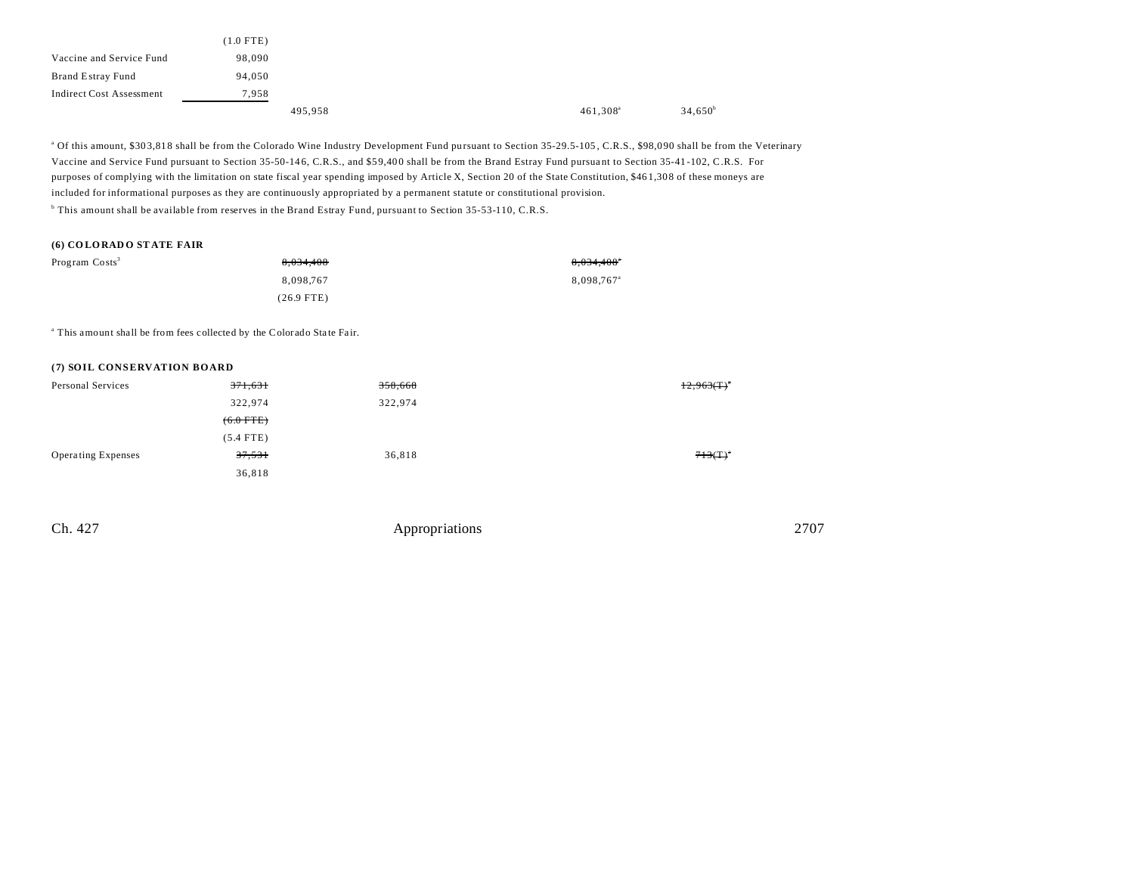|                          | $(1.0$ FTE) |         |  |                      |                  |
|--------------------------|-------------|---------|--|----------------------|------------------|
| Vaccine and Service Fund | 98,090      |         |  |                      |                  |
| Brand Estray Fund        | 94,050      |         |  |                      |                  |
| Indirect Cost Assessment | 7,958       |         |  |                      |                  |
|                          |             | 495,958 |  | 461,308 <sup>a</sup> | $34,650^{\circ}$ |

<sup>a</sup> Of this amount, \$303,818 shall be from the Colorado Wine Industry Development Fund pursuant to Section 35-29.5-105, C.R.S., \$98,090 shall be from the Veterinary Vaccine and Service Fund pursuant to Section 35-50-14 6, C.R.S., and \$5 9,40 0 shall be from the Brand Estray Fund pursua nt to Section 35-41 -102, C.R.S. For purposes of complying with the limitation on state fiscal year spending imposed by Article X, Section 20 of the State Constitution, \$46 1,30 8 of these moneys are included for informational purposes as they are continuously appropriated by a permanent statute or constitutional provision.

b This amount shall be available from reserves in the Brand Estray Fund, pursuant to Section 35-53-110, C.R.S.

## **(6) CO LORAD O ST ATE FAIR**

| Program Costs <sup>3</sup> | 8.034.408    | 8,034,408"             |
|----------------------------|--------------|------------------------|
|                            | 8.098.767    | 8.098.767 <sup>a</sup> |
|                            | $(26.9$ FTE) |                        |

<sup>a</sup> This amount shall be from fees collected by the Colorado State Fair.

### **(7) SOIL CONSERVATION BOARD**

| Personal Services         | <del>371,631</del> | 358,668 | $12,963(T)^{4}$ |
|---------------------------|--------------------|---------|-----------------|
|                           | 322,974            | 322,974 |                 |
|                           | $(6.0$ FTE)        |         |                 |
|                           | $(5.4$ FTE)        |         |                 |
| <b>Operating Expenses</b> | 37,531             | 36,818  | 713(T)          |
|                           | 36,818             |         |                 |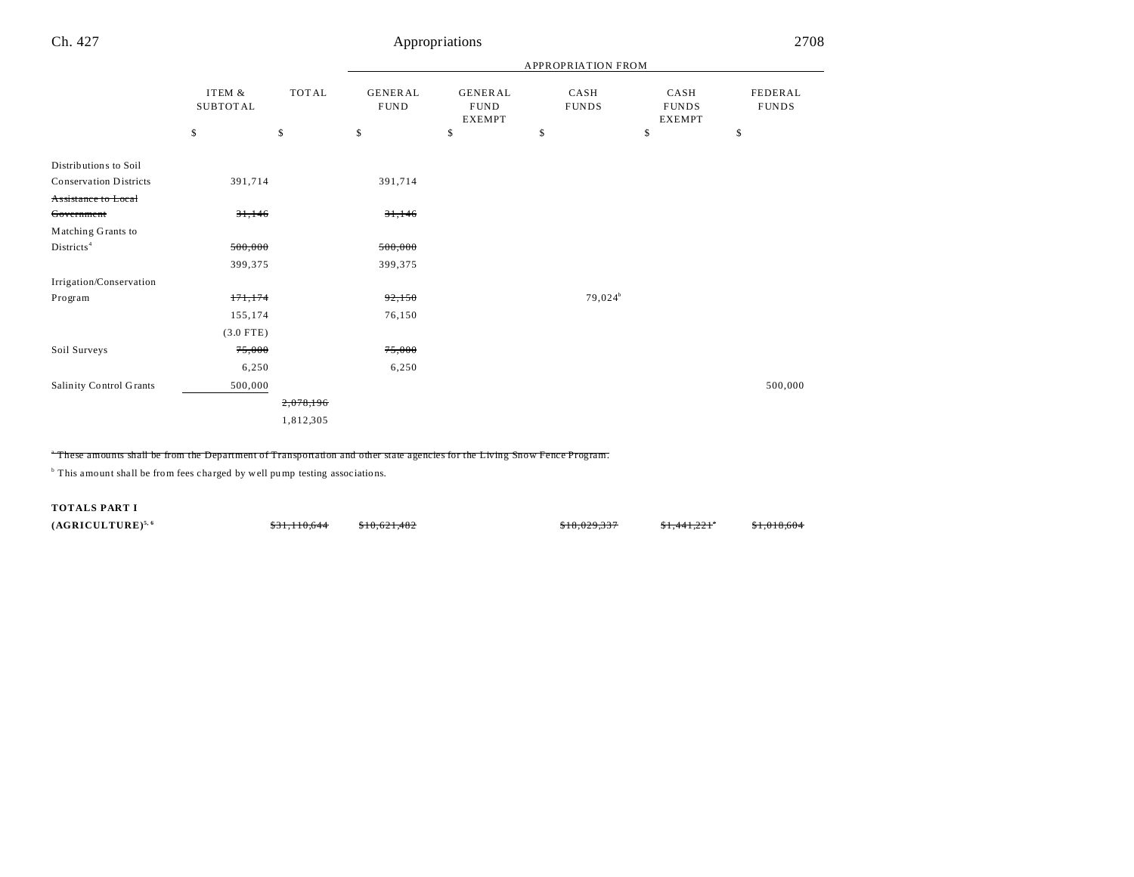|                               |                           |              | APPROPRIATION FROM             |                                                |                      |                                       |                         |  |  |
|-------------------------------|---------------------------|--------------|--------------------------------|------------------------------------------------|----------------------|---------------------------------------|-------------------------|--|--|
|                               | ITEM &<br><b>SUBTOTAL</b> | <b>TOTAL</b> | <b>GENERAL</b><br>${\rm FUND}$ | <b>GENERAL</b><br><b>FUND</b><br><b>EXEMPT</b> | CASH<br><b>FUNDS</b> | CASH<br><b>FUNDS</b><br><b>EXEMPT</b> | FEDERAL<br><b>FUNDS</b> |  |  |
|                               | \$                        | \$           | \$                             | \$                                             | \$                   | \$                                    | \$                      |  |  |
| Distributions to Soil         |                           |              |                                |                                                |                      |                                       |                         |  |  |
| <b>Conservation Districts</b> | 391,714                   |              | 391,714                        |                                                |                      |                                       |                         |  |  |
| Assistance to Local           |                           |              |                                |                                                |                      |                                       |                         |  |  |
| Government                    | 31,146                    |              | 31,146                         |                                                |                      |                                       |                         |  |  |
| Matching Grants to            |                           |              |                                |                                                |                      |                                       |                         |  |  |
| Districts <sup>4</sup>        | 500,000                   |              | 500,000                        |                                                |                      |                                       |                         |  |  |
|                               | 399,375                   |              | 399,375                        |                                                |                      |                                       |                         |  |  |
| Irrigation/Conservation       |                           |              |                                |                                                |                      |                                       |                         |  |  |
| Program                       | 171, 174                  |              | 92,150                         |                                                | $79,024^b$           |                                       |                         |  |  |
|                               | 155,174                   |              | 76,150                         |                                                |                      |                                       |                         |  |  |
|                               | $(3.0$ FTE)               |              |                                |                                                |                      |                                       |                         |  |  |
| Soil Surveys                  | 75,000                    |              | 75,000                         |                                                |                      |                                       |                         |  |  |
|                               | 6,250                     |              | 6,250                          |                                                |                      |                                       |                         |  |  |
| Salinity Control Grants       | 500,000                   |              |                                |                                                |                      |                                       | 500,000                 |  |  |
|                               |                           | 2,078,196    |                                |                                                |                      |                                       |                         |  |  |
|                               |                           | 1,812,305    |                                |                                                |                      |                                       |                         |  |  |

#### a These amounts shall be from the Department of Transportation and other state agencies for the Living Snow Fence Program.

<sup>b</sup> This amount shall be from fees charged by well pump testing associations.

**TOTALS PART I**

**(AGRICULTURE)<sup>5, 6</sup>** \$31,110,644 \$10,621,482 \$18,029,337 \$1,441,221<sup>a</sup>

\$1,018,604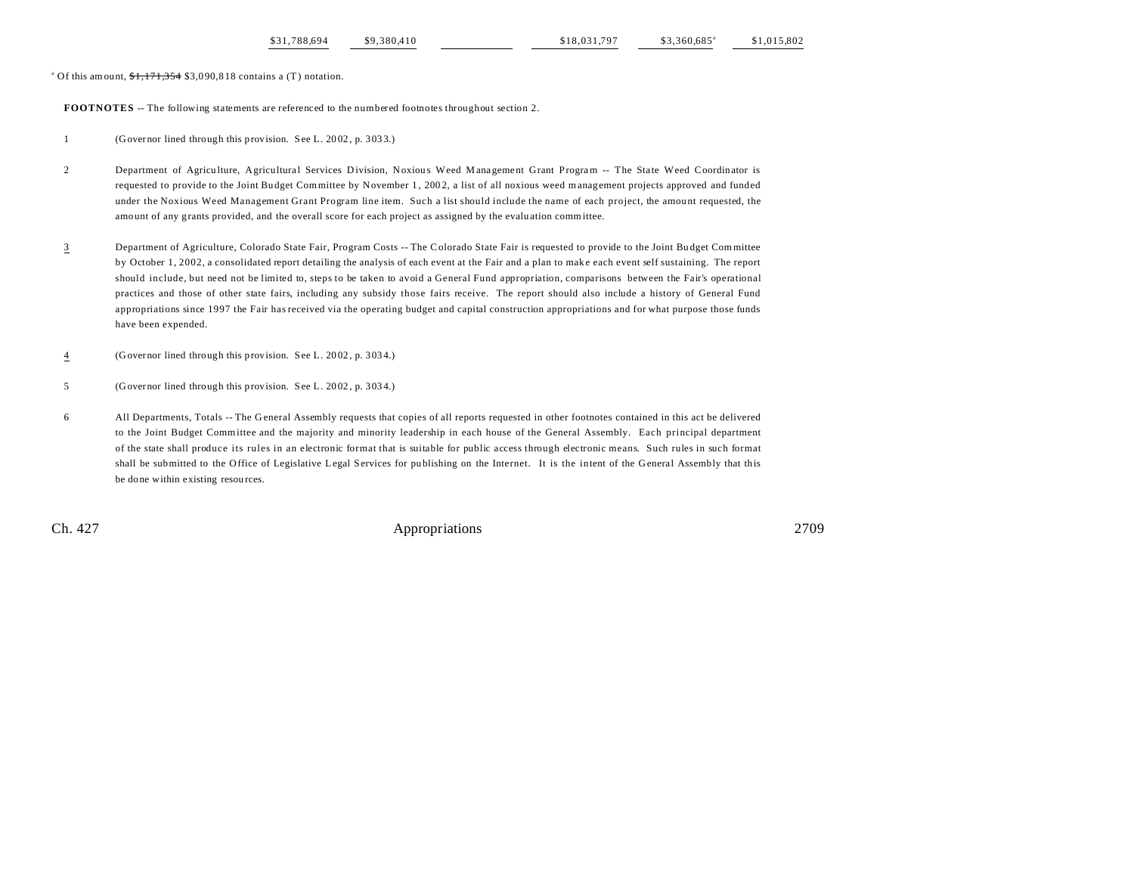<sup>a</sup> Of this amount,  $1,171,354$  \$3,090,818 contains a (T) notation.

**FOOTNOTES** -- The following statements are referenced to the numbered footnotes throughout section 2.

1 (Governor lined through this provision. See L. 20 02 , p. 303 3.)

- 2 Department of Agriculture, Agricultural Services Division, Noxious Weed Management Grant Program -- The State Weed Coordinator is requested to provide to the Joint Budget Committee by November 1, 2002, a list of all noxious weed management projects approved and funded under the Noxious Weed Management Grant Program line item. Such a list should include the name of each project, the amount requested, the amount of any grants provided, and the overall score for each project as assigned by the evalu ation committee.
- 3 Department of Agriculture, Colorado State Fair, Program Costs -- The Colorado State Fair is requested to provide to the Joint Bu dget Committee by October 1, 2002, a consolidated report detailing the analysis of each event at the Fair and a plan to mak e each event self sustaining. The report should include, but need not be limited to, steps to be taken to avoid a General Fund appropriation, comparisons between the Fair's operational practices and those of other state fairs, including any subsidy those fairs receive. The report should also include a history of General Fund appropriations since 1997 the Fair has received via the operating budget and capital construction appropriations and for what purpose those funds have been expended.
- 4 (Governor lined through this provision. See L. 20 02 , p. 303 4.)
- 5 (Governor lined through this provision. See L. 20 02 , p. 303 4.)
- 6 All Departments, Totals -- The G eneral Assembly requests that copies of all reports requested in other footnotes contained in this act be delivered to the Joint Budget Committee and the majority and minority leadership in each house of the General Assembly. Each principal department of the state shall produce its rules in an electronic format that is suitable for public access through electronic means. Such rules in such format shall be submitted to the Office of Legislative Legal Services for pu blishing on the Internet. It is the intent of the General Assembly that this be done within existing resou rces.